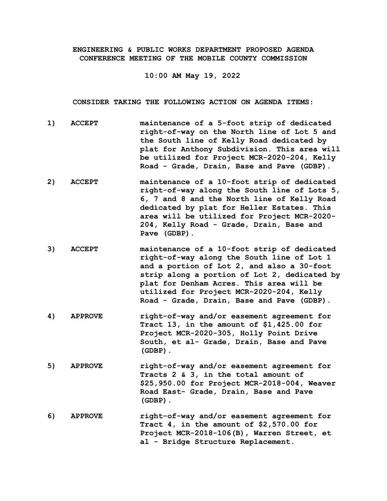## **ENGINEERING & PUBLIC WORKS DEPARTMENT PROPOSED AGENDA CONFERENCE MEETING OF THE MOBILE COUNTY COMMISSION**

**10:00 AM May 19, 2022**

**CONSIDER TAKING THE FOLLOWING ACTION ON AGENDA ITEMS:**

- **1) ACCEPT maintenance of a 5-foot strip of dedicated right-of-way on the North line of Lot 5 and the South line of Kelly Road dedicated by plat for Anthony Subdivision. This area will be utilized for Project MCR-2020-204, Kelly Road - Grade, Drain, Base and Pave (GDBP).**
- **2) ACCEPT maintenance of a 10-foot strip of dedicated right-of-way along the South line of Lots 5, 6, 7 and 8 and the North line of Kelly Road dedicated by plat for Heller Estates. This area will be utilized for Project MCR-2020- 204, Kelly Road - Grade, Drain, Base and Pave (GDBP).**
- **3) ACCEPT maintenance of a 10-foot strip of dedicated right-of-way along the South line of Lot 1 and a portion of Lot 2, and also a 30-foot strip along a portion of Lot 2, dedicated by plat for Denham Acres. This area will be utilized for Project MCR-2020-204, Kelly Road - Grade, Drain, Base and Pave (GDBP).**
- **4) APPROVE right-of-way and/or easement agreement for Tract 13, in the amount of \$1,425.00 for Project MCR-2020-305, Holly Point Drive South, et al- Grade, Drain, Base and Pave (GDBP).**
- **5) APPROVE right-of-way and/or easement agreement for Tracts 2 & 3, in the total amount of \$25,950.00 for Project MCR-2018-004, Weaver Road East- Grade, Drain, Base and Pave (GDBP).**
- **6) APPROVE right-of-way and/or easement agreement for Tract 4, in the amount of \$2,570.00 for Project MCR-2018-106(B), Warren Street, et al - Bridge Structure Replacement.**